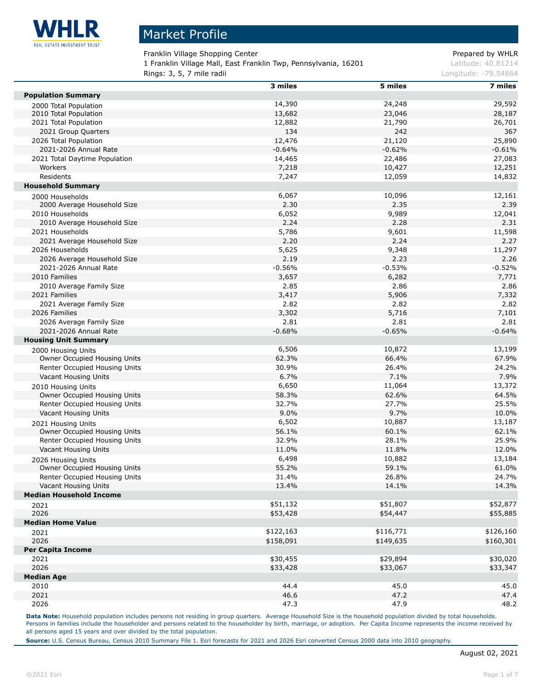

Franklin Village Shopping Center **Prepared by WHLR** 

1 Franklin Village Mall, East Franklin Twp, Pennsylvania, 16201 Latitude: 40.81214 **Rings: 3, 5, 7 mile radii Longitude: -79.54864 Longitude: -79.54864** 

|                                | 3 miles   | 5 miles   | 7 miles   |
|--------------------------------|-----------|-----------|-----------|
| <b>Population Summary</b>      |           |           |           |
| 2000 Total Population          | 14,390    | 24,248    | 29,592    |
| 2010 Total Population          | 13,682    | 23,046    | 28,187    |
| 2021 Total Population          | 12,882    | 21,790    | 26,701    |
| 2021 Group Quarters            | 134       | 242       | 367       |
| 2026 Total Population          | 12,476    | 21,120    | 25,890    |
| 2021-2026 Annual Rate          | $-0.64%$  | $-0.62%$  | $-0.61%$  |
| 2021 Total Daytime Population  | 14,465    | 22,486    | 27,083    |
| Workers                        | 7,218     | 10,427    | 12,251    |
| Residents                      | 7,247     | 12,059    | 14,832    |
| <b>Household Summary</b>       |           |           |           |
| 2000 Households                | 6,067     | 10,096    | 12,161    |
| 2000 Average Household Size    | 2.30      | 2.35      | 2.39      |
| 2010 Households                | 6,052     | 9,989     | 12,041    |
| 2010 Average Household Size    | 2.24      | 2.28      | 2.31      |
| 2021 Households                | 5,786     | 9,601     | 11,598    |
| 2021 Average Household Size    | 2.20      | 2.24      | 2.27      |
| 2026 Households                | 5,625     | 9,348     | 11,297    |
| 2026 Average Household Size    | 2.19      | 2.23      | 2.26      |
| 2021-2026 Annual Rate          | $-0.56%$  | $-0.53%$  | $-0.52%$  |
| 2010 Families                  | 3,657     | 6,282     | 7,771     |
| 2010 Average Family Size       | 2.85      | 2.86      | 2.86      |
| 2021 Families                  | 3,417     | 5,906     | 7,332     |
| 2021 Average Family Size       | 2.82      | 2.82      | 2.82      |
| 2026 Families                  | 3,302     | 5,716     | 7,101     |
| 2026 Average Family Size       | 2.81      | 2.81      | 2.81      |
| 2021-2026 Annual Rate          | $-0.68%$  | $-0.65%$  | $-0.64%$  |
| <b>Housing Unit Summary</b>    |           |           |           |
| 2000 Housing Units             | 6,506     | 10,872    | 13,199    |
| Owner Occupied Housing Units   | 62.3%     | 66.4%     | 67.9%     |
| Renter Occupied Housing Units  | 30.9%     | 26.4%     | 24.2%     |
| Vacant Housing Units           | 6.7%      | 7.1%      | 7.9%      |
| 2010 Housing Units             | 6,650     | 11,064    | 13,372    |
| Owner Occupied Housing Units   | 58.3%     | 62.6%     | 64.5%     |
| Renter Occupied Housing Units  | 32.7%     | 27.7%     | 25.5%     |
| Vacant Housing Units           | 9.0%      | 9.7%      | 10.0%     |
| 2021 Housing Units             | 6,502     | 10,887    | 13,187    |
| Owner Occupied Housing Units   | 56.1%     | 60.1%     | 62.1%     |
| Renter Occupied Housing Units  | 32.9%     | 28.1%     | 25.9%     |
| Vacant Housing Units           | 11.0%     | 11.8%     | 12.0%     |
| 2026 Housing Units             | 6,498     | 10,882    | 13,184    |
| Owner Occupied Housing Units   | 55.2%     | 59.1%     | 61.0%     |
| Renter Occupied Housing Units  | 31.4%     | 26.8%     | 24.7%     |
| Vacant Housing Units           | 13.4%     | 14.1%     | 14.3%     |
| <b>Median Household Income</b> |           |           |           |
| 2021                           | \$51,132  | \$51,807  | \$52,877  |
| 2026                           | \$53,428  | \$54,447  | \$55,885  |
| <b>Median Home Value</b>       |           |           |           |
| 2021                           | \$122,163 | \$116,771 | \$126,160 |
| 2026                           | \$158,091 | \$149,635 | \$160,301 |
| <b>Per Capita Income</b>       |           |           |           |
| 2021                           | \$30,455  | \$29,894  | \$30,020  |
| 2026                           | \$33,428  | \$33,067  | \$33,347  |
| <b>Median Age</b>              |           |           |           |
| 2010                           | 44.4      | 45.0      | 45.0      |
| 2021                           | 46.6      | 47.2      | 47.4      |
| 2026                           | 47.3      | 47.9      | 48.2      |

Data Note: Household population includes persons not residing in group quarters. Average Household Size is the household population divided by total households. Persons in families include the householder and persons related to the householder by birth, marriage, or adoption. Per Capita Income represents the income received by all persons aged 15 years and over divided by the total population.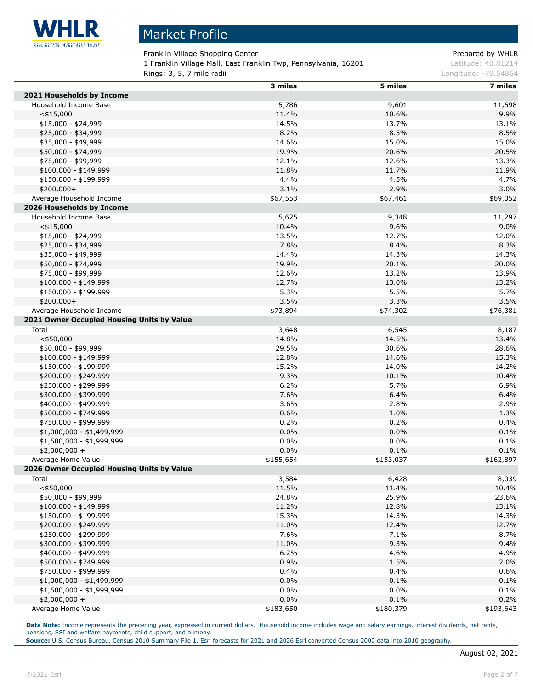

Franklin Village Shopping Center **Prepared by WHLR** 

1 Franklin Village Mall, East Franklin Twp, Pennsylvania, 16201 Latitude: 40.81214

**Rings: 3, 5, 7 mile radii Longitude: -79.54864 Longitude: -79.54864** 

|                                            | 3 miles   | 5 miles   | 7 miles   |
|--------------------------------------------|-----------|-----------|-----------|
| 2021 Households by Income                  |           |           |           |
| Household Income Base                      | 5,786     | 9,601     | 11,598    |
| $<$ \$15,000                               | 11.4%     | 10.6%     | 9.9%      |
| $$15,000 - $24,999$                        | 14.5%     | 13.7%     | 13.1%     |
| \$25,000 - \$34,999                        | 8.2%      | 8.5%      | 8.5%      |
| \$35,000 - \$49,999                        | 14.6%     | 15.0%     | 15.0%     |
| \$50,000 - \$74,999                        | 19.9%     | 20.6%     | 20.5%     |
| \$75,000 - \$99,999                        | 12.1%     | 12.6%     | 13.3%     |
| \$100,000 - \$149,999                      | 11.8%     | 11.7%     | 11.9%     |
| \$150,000 - \$199,999                      | 4.4%      | 4.5%      | 4.7%      |
| $$200,000+$                                | 3.1%      | 2.9%      | 3.0%      |
| Average Household Income                   | \$67,553  | \$67,461  | \$69,052  |
| 2026 Households by Income                  |           |           |           |
| Household Income Base                      | 5,625     | 9,348     | 11,297    |
| $<$ \$15,000                               | 10.4%     | 9.6%      | 9.0%      |
| $$15,000 - $24,999$                        | 13.5%     | 12.7%     | 12.0%     |
| \$25,000 - \$34,999                        | 7.8%      | 8.4%      | 8.3%      |
| \$35,000 - \$49,999                        | 14.4%     | 14.3%     | 14.3%     |
| \$50,000 - \$74,999                        | 19.9%     | 20.1%     | 20.0%     |
| \$75,000 - \$99,999                        | 12.6%     | 13.2%     | 13.9%     |
| $$100,000 - $149,999$                      | 12.7%     | 13.0%     | 13.2%     |
| $$150,000 - $199,999$                      | 5.3%      | 5.5%      | 5.7%      |
| $$200,000+$                                | 3.5%      | 3.3%      | 3.5%      |
| Average Household Income                   | \$73,894  | \$74,302  | \$76,381  |
|                                            |           |           |           |
| 2021 Owner Occupied Housing Units by Value |           |           |           |
| Total                                      | 3,648     | 6,545     | 8,187     |
| $<$ \$50,000                               | 14.8%     | 14.5%     | 13.4%     |
| \$50,000 - \$99,999                        | 29.5%     | 30.6%     | 28.6%     |
| $$100,000 - $149,999$                      | 12.8%     | 14.6%     | 15.3%     |
| \$150,000 - \$199,999                      | 15.2%     | 14.0%     | 14.2%     |
| \$200,000 - \$249,999                      | 9.3%      | 10.1%     | 10.4%     |
| \$250,000 - \$299,999                      | 6.2%      | 5.7%      | 6.9%      |
| \$300,000 - \$399,999                      | 7.6%      | 6.4%      | 6.4%      |
| \$400,000 - \$499,999                      | 3.6%      | 2.8%      | 2.9%      |
| \$500,000 - \$749,999                      | 0.6%      | 1.0%      | 1.3%      |
| \$750,000 - \$999,999                      | 0.2%      | 0.2%      | 0.4%      |
| $$1,000,000 - $1,499,999$                  | 0.0%      | 0.0%      | 0.1%      |
| \$1,500,000 - \$1,999,999                  | 0.0%      | $0.0\%$   | 0.1%      |
| $$2,000,000 +$                             | 0.0%      | 0.1%      | 0.1%      |
| Average Home Value                         | \$155,654 | \$153,037 | \$162,897 |
| 2026 Owner Occupied Housing Units by Value |           |           |           |
| Total                                      | 3,584     | 6,428     | 8,039     |
| $<$ \$50,000                               | 11.5%     | 11.4%     | 10.4%     |
| \$50,000 - \$99,999                        | 24.8%     | 25.9%     | 23.6%     |
| $$100,000 - $149,999$                      | 11.2%     | 12.8%     | 13.1%     |
| \$150,000 - \$199,999                      | 15.3%     | 14.3%     | 14.3%     |
| \$200,000 - \$249,999                      | 11.0%     | 12.4%     | 12.7%     |
| \$250,000 - \$299,999                      | 7.6%      | 7.1%      | 8.7%      |
| \$300,000 - \$399,999                      | 11.0%     | 9.3%      | 9.4%      |
| \$400,000 - \$499,999                      | 6.2%      | 4.6%      | 4.9%      |
| \$500,000 - \$749,999                      | 0.9%      | 1.5%      | 2.0%      |
| \$750,000 - \$999,999                      | 0.4%      | 0.4%      | 0.6%      |
| $$1,000,000 - $1,499,999$                  | 0.0%      | 0.1%      | 0.1%      |
| \$1,500,000 - \$1,999,999                  | 0.0%      | 0.0%      | 0.1%      |
| $$2,000,000 +$                             | 0.0%      | 0.1%      | 0.2%      |
| Average Home Value                         | \$183,650 | \$180,379 | \$193,643 |

Data Note: Income represents the preceding year, expressed in current dollars. Household income includes wage and salary earnings, interest dividends, net rents, pensions, SSI and welfare payments, child support, and alimony.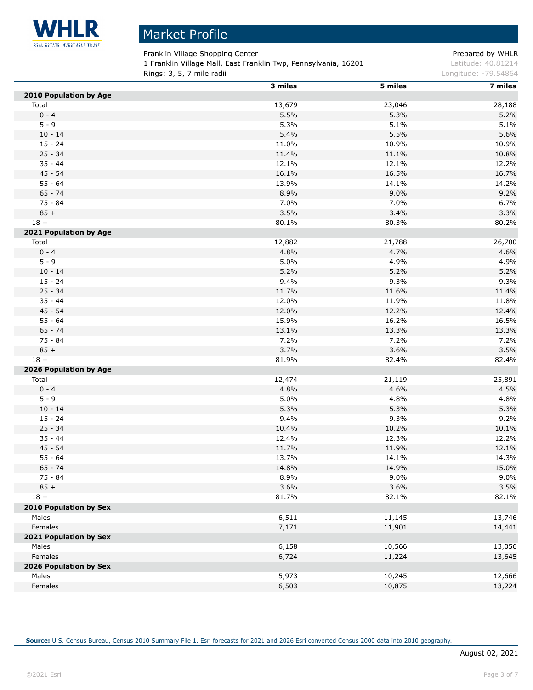

 $\overline{a}$ 

# Market Profile

Franklin Village Shopping Center **Prepared by WHLR** 

1 Franklin Village Mall, East Franklin Twp, Pennsylvania, 16201 Latitude: 40.81214 **Rings: 3, 5, 7 mile radii Longitude: -79.54864 Longitude: -79.54864** 

|                        | 3 miles | 5 miles | 7 miles |
|------------------------|---------|---------|---------|
| 2010 Population by Age |         |         |         |
| Total                  | 13,679  | 23,046  | 28,188  |
| $0 - 4$                | 5.5%    | 5.3%    | 5.2%    |
| $5 - 9$                | 5.3%    | 5.1%    | 5.1%    |
| $10 - 14$              | 5.4%    | 5.5%    | 5.6%    |
| $15 - 24$              | 11.0%   | 10.9%   | 10.9%   |
| $25 - 34$              | 11.4%   | 11.1%   | 10.8%   |
| $35 - 44$              | 12.1%   | 12.1%   | 12.2%   |
| $45 - 54$              | 16.1%   | 16.5%   | 16.7%   |
| $55 - 64$              | 13.9%   | 14.1%   | 14.2%   |
| $65 - 74$              | 8.9%    | 9.0%    | 9.2%    |
| $75 - 84$              | 7.0%    | 7.0%    | 6.7%    |
| $85 +$                 | 3.5%    | 3.4%    | 3.3%    |
| $18 +$                 | 80.1%   | 80.3%   | 80.2%   |
| 2021 Population by Age |         |         |         |
| Total                  | 12,882  | 21,788  | 26,700  |
| $0 - 4$                | 4.8%    | 4.7%    | 4.6%    |
| $5 - 9$                | 5.0%    | 4.9%    | 4.9%    |
| $10 - 14$              | 5.2%    | 5.2%    | 5.2%    |
| $15 - 24$              | 9.4%    | 9.3%    | 9.3%    |
| $25 - 34$              | 11.7%   | 11.6%   | 11.4%   |
| $35 - 44$              | 12.0%   | 11.9%   | 11.8%   |
| $45 - 54$              | 12.0%   | 12.2%   | 12.4%   |
| $55 - 64$              | 15.9%   | 16.2%   | 16.5%   |
| $65 - 74$              | 13.1%   | 13.3%   | 13.3%   |
| 75 - 84                | 7.2%    | 7.2%    | 7.2%    |
| $85 +$                 | 3.7%    | 3.6%    | 3.5%    |
| $18 +$                 | 81.9%   | 82.4%   | 82.4%   |
| 2026 Population by Age |         |         |         |
| Total                  | 12,474  | 21,119  | 25,891  |
| $0 - 4$                | 4.8%    | 4.6%    | 4.5%    |
| $5 - 9$                | 5.0%    | 4.8%    | 4.8%    |
| $10 - 14$              | 5.3%    | 5.3%    | 5.3%    |
| $15 - 24$              | 9.4%    | 9.3%    | 9.2%    |
| $25 - 34$              | 10.4%   | 10.2%   | 10.1%   |
| $35 - 44$              | 12.4%   | 12.3%   | 12.2%   |
| $45 - 54$              | 11.7%   | 11.9%   | 12.1%   |
| $55 - 64$              | 13.7%   | 14.1%   | 14.3%   |
| $65 - 74$              | 14.8%   | 14.9%   | 15.0%   |
| 75 - 84                | 8.9%    | 9.0%    | 9.0%    |
| $85 +$                 | 3.6%    | 3.6%    | 3.5%    |
| $18 +$                 | 81.7%   | 82.1%   | 82.1%   |
| 2010 Population by Sex |         |         |         |
| Males                  | 6,511   | 11,145  | 13,746  |
| Females                | 7,171   | 11,901  | 14,441  |
| 2021 Population by Sex |         |         |         |
| Males                  | 6,158   | 10,566  | 13,056  |
| Females                | 6,724   |         |         |
|                        |         | 11,224  | 13,645  |
| 2026 Population by Sex | 5,973   |         |         |
| Males                  |         | 10,245  | 12,666  |
| Females                | 6,503   | 10,875  | 13,224  |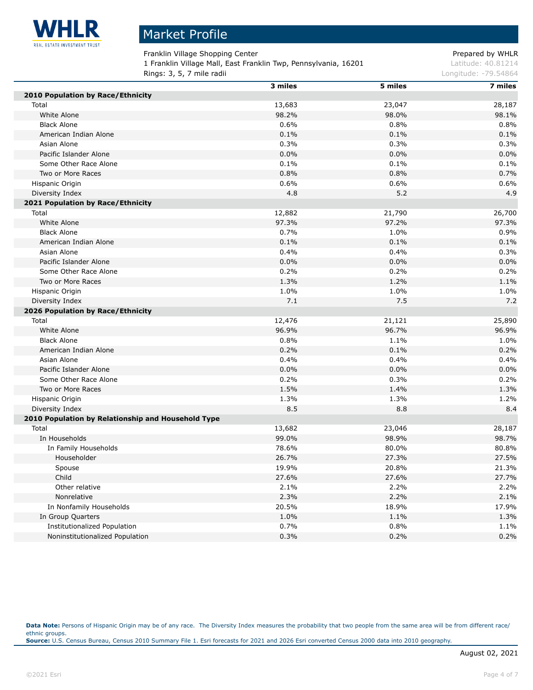

Franklin Village Shopping Center **Prepared by WHLR** 

1 Franklin Village Mall, East Franklin Twp, Pennsylvania, 16201 Latitude: 40.81214

**Rings: 3, 5, 7 mile radii Longitude: -79.54864 Longitude: -79.54864** 

|                                                    | 3 miles | 5 miles | 7 miles |
|----------------------------------------------------|---------|---------|---------|
| 2010 Population by Race/Ethnicity                  |         |         |         |
| Total                                              | 13,683  | 23,047  | 28,187  |
| White Alone                                        | 98.2%   | 98.0%   | 98.1%   |
| <b>Black Alone</b>                                 | 0.6%    | 0.8%    | 0.8%    |
| American Indian Alone                              | 0.1%    | 0.1%    | 0.1%    |
| Asian Alone                                        | 0.3%    | 0.3%    | 0.3%    |
| Pacific Islander Alone                             | 0.0%    | 0.0%    | 0.0%    |
| Some Other Race Alone                              | 0.1%    | 0.1%    | 0.1%    |
| Two or More Races                                  | 0.8%    | 0.8%    | 0.7%    |
| Hispanic Origin                                    | 0.6%    | 0.6%    | 0.6%    |
| Diversity Index                                    | 4.8     | 5.2     | 4.9     |
| 2021 Population by Race/Ethnicity                  |         |         |         |
| Total                                              | 12,882  | 21,790  | 26,700  |
| White Alone                                        | 97.3%   | 97.2%   | 97.3%   |
| <b>Black Alone</b>                                 | 0.7%    | 1.0%    | 0.9%    |
| American Indian Alone                              | 0.1%    | 0.1%    | 0.1%    |
| Asian Alone                                        | 0.4%    | 0.4%    | 0.3%    |
| Pacific Islander Alone                             | 0.0%    | 0.0%    | 0.0%    |
| Some Other Race Alone                              | 0.2%    | 0.2%    | 0.2%    |
| Two or More Races                                  | 1.3%    | 1.2%    | 1.1%    |
| Hispanic Origin                                    | 1.0%    | 1.0%    | 1.0%    |
| Diversity Index                                    | 7.1     | 7.5     | 7.2     |
| 2026 Population by Race/Ethnicity                  |         |         |         |
| Total                                              | 12,476  | 21,121  | 25,890  |
| White Alone                                        | 96.9%   | 96.7%   | 96.9%   |
| <b>Black Alone</b>                                 | 0.8%    | 1.1%    | 1.0%    |
| American Indian Alone                              | 0.2%    | 0.1%    | 0.2%    |
| Asian Alone                                        | 0.4%    | 0.4%    | 0.4%    |
| Pacific Islander Alone                             | 0.0%    | 0.0%    | 0.0%    |
| Some Other Race Alone                              | 0.2%    | 0.3%    | 0.2%    |
| Two or More Races                                  | 1.5%    | 1.4%    | 1.3%    |
| Hispanic Origin                                    | 1.3%    | 1.3%    | 1.2%    |
| Diversity Index                                    | 8.5     | 8.8     | 8.4     |
| 2010 Population by Relationship and Household Type |         |         |         |
| Total                                              | 13,682  | 23,046  | 28,187  |
| In Households                                      | 99.0%   | 98.9%   | 98.7%   |
| In Family Households                               | 78.6%   | 80.0%   | 80.8%   |
| Householder                                        | 26.7%   | 27.3%   | 27.5%   |
| Spouse                                             | 19.9%   | 20.8%   | 21.3%   |
| Child                                              | 27.6%   | 27.6%   | 27.7%   |
| Other relative                                     | 2.1%    | 2.2%    | 2.2%    |
| Nonrelative                                        | 2.3%    | 2.2%    | 2.1%    |
| In Nonfamily Households                            | 20.5%   | 18.9%   | 17.9%   |
| In Group Quarters                                  | 1.0%    | 1.1%    | 1.3%    |
| Institutionalized Population                       | 0.7%    | 0.8%    | 1.1%    |
| Noninstitutionalized Population                    | 0.3%    | 0.2%    | 0.2%    |
|                                                    |         |         |         |

Data Note: Persons of Hispanic Origin may be of any race. The Diversity Index measures the probability that two people from the same area will be from different race/ ethnic groups. **Source:** U.S. Census Bureau, Census 2010 Summary File 1. Esri forecasts for 2021 and 2026 Esri converted Census 2000 data into 2010 geography.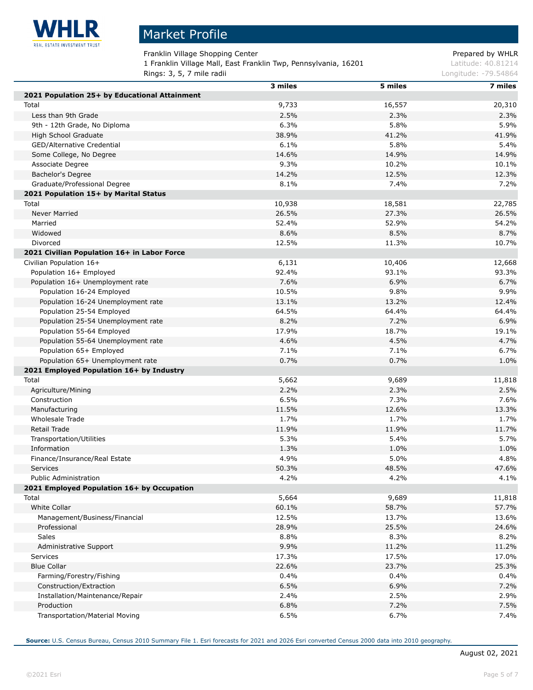

 $\overline{a}$ 

# Market Profile

Franklin Village Shopping Center **Prepared by WHLR** 

1 Franklin Village Mall, East Franklin Twp, Pennsylvania, 16201 Latitude: 40.81214

**Rings: 3, 5, 7 mile radii Longitude: -79.54864 Longitude: -79.54864** 

|                                               | 3 miles | 5 miles | 7 miles |
|-----------------------------------------------|---------|---------|---------|
| 2021 Population 25+ by Educational Attainment |         |         |         |
| Total                                         | 9,733   | 16,557  | 20,310  |
| Less than 9th Grade                           | 2.5%    | 2.3%    | 2.3%    |
| 9th - 12th Grade, No Diploma                  | 6.3%    | 5.8%    | 5.9%    |
| High School Graduate                          | 38.9%   | 41.2%   | 41.9%   |
| GED/Alternative Credential                    | 6.1%    | 5.8%    | 5.4%    |
| Some College, No Degree                       | 14.6%   | 14.9%   | 14.9%   |
| Associate Degree                              | 9.3%    | 10.2%   | 10.1%   |
| Bachelor's Degree                             | 14.2%   | 12.5%   | 12.3%   |
| Graduate/Professional Degree                  | 8.1%    | 7.4%    | 7.2%    |
| 2021 Population 15+ by Marital Status         |         |         |         |
| Total                                         | 10,938  | 18,581  | 22,785  |
| Never Married                                 | 26.5%   | 27.3%   | 26.5%   |
| Married                                       | 52.4%   | 52.9%   | 54.2%   |
| Widowed                                       | 8.6%    | 8.5%    | 8.7%    |
| Divorced                                      | 12.5%   | 11.3%   | 10.7%   |
| 2021 Civilian Population 16+ in Labor Force   |         |         |         |
| Civilian Population 16+                       | 6,131   | 10,406  | 12,668  |
| Population 16+ Employed                       | 92.4%   | 93.1%   | 93.3%   |
| Population 16+ Unemployment rate              | 7.6%    | 6.9%    | 6.7%    |
| Population 16-24 Employed                     | 10.5%   | 9.8%    | 9.9%    |
| Population 16-24 Unemployment rate            | 13.1%   | 13.2%   | 12.4%   |
| Population 25-54 Employed                     | 64.5%   | 64.4%   | 64.4%   |
| Population 25-54 Unemployment rate            | 8.2%    | 7.2%    | 6.9%    |
| Population 55-64 Employed                     | 17.9%   | 18.7%   | 19.1%   |
| Population 55-64 Unemployment rate            | 4.6%    | 4.5%    | 4.7%    |
| Population 65+ Employed                       | 7.1%    | 7.1%    | 6.7%    |
| Population 65+ Unemployment rate              | 0.7%    | 0.7%    | 1.0%    |
| 2021 Employed Population 16+ by Industry      |         |         |         |
| Total                                         | 5,662   | 9,689   | 11,818  |
| Agriculture/Mining                            | 2.2%    | 2.3%    | 2.5%    |
| Construction                                  | 6.5%    | 7.3%    | 7.6%    |
| Manufacturing                                 | 11.5%   | 12.6%   | 13.3%   |
| Wholesale Trade                               | 1.7%    | 1.7%    | 1.7%    |
| Retail Trade                                  | 11.9%   | 11.9%   | 11.7%   |
| Transportation/Utilities                      | 5.3%    | 5.4%    | 5.7%    |
| Information                                   | 1.3%    | 1.0%    | 1.0%    |
| Finance/Insurance/Real Estate                 | 4.9%    | 5.0%    | 4.8%    |
| Services                                      | 50.3%   | 48.5%   | 47.6%   |
| <b>Public Administration</b>                  | 4.2%    | 4.2%    | 4.1%    |
| 2021 Employed Population 16+ by Occupation    |         |         |         |
| Total                                         | 5,664   | 9,689   | 11,818  |
| White Collar                                  | 60.1%   | 58.7%   | 57.7%   |
| Management/Business/Financial                 | 12.5%   | 13.7%   | 13.6%   |
| Professional                                  | 28.9%   | 25.5%   | 24.6%   |
| Sales                                         | 8.8%    | 8.3%    | 8.2%    |
| Administrative Support                        | 9.9%    | 11.2%   | 11.2%   |
| Services                                      | 17.3%   | 17.5%   | 17.0%   |
| <b>Blue Collar</b>                            | 22.6%   | 23.7%   | 25.3%   |
| Farming/Forestry/Fishing                      | 0.4%    | 0.4%    | 0.4%    |
| Construction/Extraction                       | 6.5%    | 6.9%    | 7.2%    |
| Installation/Maintenance/Repair               | 2.4%    | 2.5%    | 2.9%    |
| Production                                    | 6.8%    | 7.2%    | 7.5%    |
| Transportation/Material Moving                | 6.5%    | 6.7%    | 7.4%    |
|                                               |         |         |         |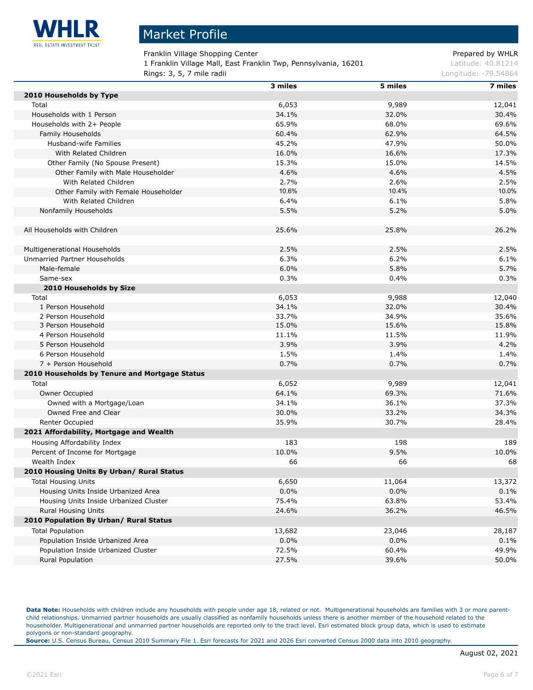

Franklin Village Shopping Center **Prepared by WHLR** Prepared by WHLR

1 Franklin Village Mall, East Franklin Twp, Pennsylvania, 16201 Latitude: 40.81214

| Rings: 3, 5, 7 mile radii                     |         | Longitude: -79.54864 |         |
|-----------------------------------------------|---------|----------------------|---------|
|                                               | 3 miles | 5 miles              | 7 miles |
| 2010 Households by Type                       |         |                      |         |
| Total                                         | 6,053   | 9,989                | 12,041  |
| Households with 1 Person                      | 34.1%   | 32.0%                | 30.4%   |
| Households with 2+ People                     | 65.9%   | 68.0%                | 69.6%   |
| Family Households                             | 60.4%   | 62.9%                | 64.5%   |
| Husband-wife Families                         | 45.2%   | 47.9%                | 50.0%   |
| With Related Children                         | 16.0%   | 16.6%                | 17.3%   |
| Other Family (No Spouse Present)              | 15.3%   | 15.0%                | 14.5%   |
| Other Family with Male Householder            | 4.6%    | 4.6%                 | 4.5%    |
| With Related Children                         | 2.7%    | 2.6%                 | 2.5%    |
| Other Family with Female Householder          | 10.6%   | 10.4%                | 10.0%   |
| With Related Children                         | 6.4%    | 6.1%                 | 5.8%    |
| Nonfamily Households                          | 5.5%    | 5.2%                 | 5.0%    |
|                                               |         |                      |         |
| All Households with Children                  | 25.6%   | 25.8%                | 26.2%   |
|                                               |         |                      |         |
| Multigenerational Households                  | 2.5%    | 2.5%                 | 2.5%    |
| Unmarried Partner Households                  | 6.3%    | 6.2%                 | 6.1%    |
| Male-female                                   | 6.0%    | 5.8%                 | 5.7%    |
| Same-sex                                      | 0.3%    | 0.4%                 | 0.3%    |
| 2010 Households by Size                       |         |                      |         |
| Total                                         | 6,053   | 9,988                | 12,040  |
| 1 Person Household                            | 34.1%   | 32.0%                | 30.4%   |
| 2 Person Household                            | 33.7%   | 34.9%                | 35.6%   |
| 3 Person Household                            | 15.0%   | 15.6%                | 15.8%   |
| 4 Person Household                            | 11.1%   | 11.5%                | 11.9%   |
| 5 Person Household                            | 3.9%    | 3.9%                 | 4.2%    |
| 6 Person Household                            | 1.5%    | 1.4%                 | 1.4%    |
| 7 + Person Household                          | 0.7%    | 0.7%                 | 0.7%    |
| 2010 Households by Tenure and Mortgage Status |         |                      |         |
| Total                                         | 6,052   | 9,989                | 12,041  |
| Owner Occupied                                | 64.1%   | 69.3%                | 71.6%   |
| Owned with a Mortgage/Loan                    | 34.1%   | 36.1%                | 37.3%   |
| Owned Free and Clear                          | 30.0%   | 33.2%                | 34.3%   |
| Renter Occupied                               | 35.9%   | 30.7%                | 28.4%   |
| 2021 Affordability, Mortgage and Wealth       |         |                      |         |
| Housing Affordability Index                   | 183     | 198                  | 189     |
| Percent of Income for Mortgage                | 10.0%   | 9.5%                 | 10.0%   |
|                                               |         |                      |         |
| Wealth Index                                  | 66      | 66                   | 68      |
| 2010 Housing Units By Urban/ Rural Status     |         |                      |         |
| <b>Total Housing Units</b>                    | 6,650   | 11,064               | 13,372  |
| Housing Units Inside Urbanized Area           | $0.0\%$ | 0.0%                 | 0.1%    |
| Housing Units Inside Urbanized Cluster        | 75.4%   | 63.8%                | 53.4%   |
| Rural Housing Units                           | 24.6%   | 36.2%                | 46.5%   |
| 2010 Population By Urban/ Rural Status        |         |                      |         |
| <b>Total Population</b>                       | 13,682  | 23,046               | 28,187  |
| Population Inside Urbanized Area              | $0.0\%$ | $0.0\%$              | 0.1%    |
| Population Inside Urbanized Cluster           | 72.5%   | 60.4%                | 49.9%   |
| Rural Population                              | 27.5%   | 39.6%                | 50.0%   |

Data Note: Households with children include any households with people under age 18, related or not. Multigenerational households are families with 3 or more parentchild relationships. Unmarried partner households are usually classified as nonfamily households unless there is another member of the household related to the householder. Multigenerational and unmarried partner households are reported only to the tract level. Esri estimated block group data, which is used to estimate polygons or non-standard geography.